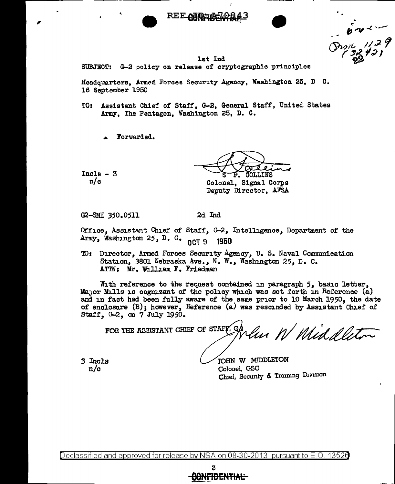

 $67229$ 

## **lst** Ind

Ï

SUBJECT: G-2 policy on release of cryptographic principles

Headquarters, Armed Forces Security Agency, Washington 25, D C. 16 September 1950

- TO: Assistant Chief of Staff, G-2, General Staff, United States Army, The Pentagon, Washington 25, D. C.
	- Forwarded.

 $Incls - 3$  $n/c$ 

COLLINS

Colonel, Signal Corps Deputy Director, AFSA

G2-SMI 350.0511

2d Ind

Office, Assistant Chief of Staff, G-2, Intelligence, Department of the Army, Washington 25, D. C. 0CT 9 1950

TO: Director, Armed Forces Security Agency, U.S. Naval Communication Station, 3801 Nebraska Ave., N. W., Washington 25, D. C. ATIN: Mr. William F. Friedman

With reference to the request contained in paragraph  $5$ , basic letter, Major Mills is cognizant of the policy which was set forth in Reference (a) and in fact had been fully aware of the same prior to 10 March 1950, the date of enclosure (B); however, Reference (a) was rescinded by Assistant Chief of Staff, G-2, on 7 July 1950.

FOR THE ASSISTANT CHIEF OF STAFF. CR Velue W Middelliton

3 Incls  $n/c$ 

JOHN W MIDDLETON Colonel, GSC Chief, Security & Training Division

Declassified and approved for release by NSA on 08-30-2013  $\,$  pursuant to E.O. 13528  $\,$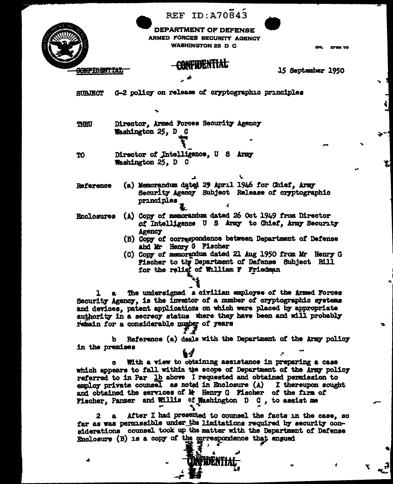|                          | <b>REF ID: A70843</b>                                                                                                                                                                                                                                                                                                                                                                                                                                                                                                                                                                                                                                                                           |                   |
|--------------------------|-------------------------------------------------------------------------------------------------------------------------------------------------------------------------------------------------------------------------------------------------------------------------------------------------------------------------------------------------------------------------------------------------------------------------------------------------------------------------------------------------------------------------------------------------------------------------------------------------------------------------------------------------------------------------------------------------|-------------------|
|                          | DEPARTMENT OF DEFENSE<br>ARMED FORCES SECURITY AGENCY<br>WASHINGTON 25 D C                                                                                                                                                                                                                                                                                                                                                                                                                                                                                                                                                                                                                      | EF ER TO          |
| <del>GONPIDENTIA</del> I | CONFIDENTIAL<br>人种                                                                                                                                                                                                                                                                                                                                                                                                                                                                                                                                                                                                                                                                              | 15 September 1950 |
| <b>SUBJECT</b>           | G-2 policy on release of cryptographic principles                                                                                                                                                                                                                                                                                                                                                                                                                                                                                                                                                                                                                                               |                   |
| <b>THRU</b>              | ۰.<br>Director, Armed Forces Security Agency<br>Washington 25, D C                                                                                                                                                                                                                                                                                                                                                                                                                                                                                                                                                                                                                              |                   |
|                          |                                                                                                                                                                                                                                                                                                                                                                                                                                                                                                                                                                                                                                                                                                 |                   |
| TO                       | Director of Intelligence, U S Army<br><b>Washington 25, D C</b>                                                                                                                                                                                                                                                                                                                                                                                                                                                                                                                                                                                                                                 | ÷                 |
| Reference                | (a) Memorandum dated 29 April 1946 for Chief. Army<br>Security Agency Subject Release of cryptographic<br>principles                                                                                                                                                                                                                                                                                                                                                                                                                                                                                                                                                                            |                   |
| <b>Enclosures</b>        | (A) Copy of memorandum dated 26 Oct 1949 from Director<br>of Intelligence U S Army to Chief, Army Security<br><b>Agency</b><br>(B) Copy of correspondence between Department of Defense<br>and Mr Henry G Fischer<br>(C) Copy of memorandum dated 21 Aug 1950 from Mr Henry G<br><b>Fischer to the Department of Defense Subject Bill</b><br>for the relief of William F Friedman                                                                                                                                                                                                                                                                                                               |                   |
| ı                        | The undersigned a civilian employee of the Armed Forces<br>Security Agency, is the inventor of a number of cryptographic systems<br>and devices, patent applications on which were placed by appropriate<br>authority in a secrecy status where they have been and will probably<br>remain for a considerable number of years<br>Reference (a) deals with the Department of the Army policy<br>b.                                                                                                                                                                                                                                                                                               |                   |
| in the premises          |                                                                                                                                                                                                                                                                                                                                                                                                                                                                                                                                                                                                                                                                                                 |                   |
| 2                        | With a view to obtaining assistance in preparing a case<br>which appears to fall within the scope of Department of the Army policy<br>referred to in Par lb above I requested and obtained permission to<br>employ private counsel as noted in Enclosure $(A)$ I thereupon sought<br>and obtained the services of le Henry G Fischer of the firm of<br>Fischer, Panzer and Willis of Washington D C, to assist me<br>After I had presented to counsel the facts in the case, so<br>far as was permissible under the limitations required by security con-<br>siderations counsel took up the matter with the Department of Defense<br>Enclosure (B) is a copy of the correspondence that ensued | ÷                 |
|                          |                                                                                                                                                                                                                                                                                                                                                                                                                                                                                                                                                                                                                                                                                                 |                   |

Ŋ

٦,

 $\frac{1}{2}$ 

 $\tilde{\mathbf{r}}$ 

 $-\frac{1}{2}$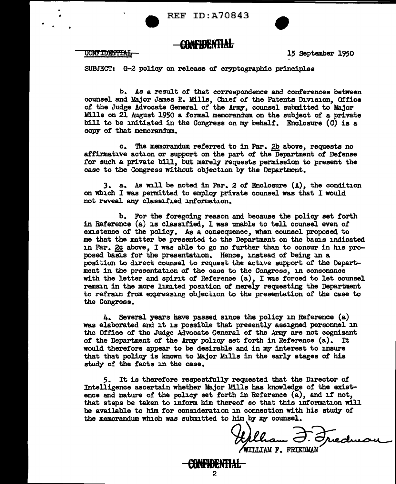



15 September 1950

SUBJECT: G-2 policy on release of cryptographic principles

b. As a result of that correspondence and conferences between counsel and Major James R. Mills, Chief of the Patents Division, 0£fice of the Judge Advocate General of the Army, counsel submitted to Major Mills on 21 August 1950 a formal memorandum on the subject of a private bill to be initiated in the Congress on my behalf. Enclosure (C) is a copy of that memorandum.

c. The memorandum referred to in Par. 2b above, requests no affirmative action or support on the part of the Department *ot* Defense for such a private bill, but merely requests permission to present the case to the Congress without objection by the Department.

*3.* a. As will be noted in Par. 2 of Enclosure (A), the condition on which I was permitted to employ private counsel was that I would not reveal any classified information.

b. For the foregoing reason and because the policy set forth in Reference (a) is classified, I was unable to tell counsel even of existence of the policy. As a consequence, when counsel proposed to me that the matter be presented to the Department on the basis indicated in Par. 2c above, I was able to go no further than to concur in his proposed basis for the presentation. Hence, instead of being in a position to direct counsel to request the active support of the Department in the presentation of the case to the Congress, in consonance with the letter and spirit of Reference  $(a)$ , I was forced to let counsel remain in the more limited position of merely requesting the Department to refrain from expressing objection to the presentation of the case to the Congress.

4. Several years have passed since the policy in Reference (a) was elaborated and it is possible that presently assigned personnel in the Office of the Judge Advocate General of the Army are not cognizant *ot* the Department of the Army' policy set forth in Reference (a). It would therefore appear to be desirable and in my interest to 1nsure that that policy is known to Major Mills in the early stages of his study of the facts in the case.

5. It is therefore respectfully requested that the Director *ot*  Intelligence ascertain whether 11ajor Mills has knowledge *ot* the existence and nature of the policy set forth in Reference (a), and if not, that steps be taken to inform him thereof so that this information will be available to him for consideration in connection with his study of the memorandum which was submitted to him by my counsel.

> **OIFllJENTIAL**  2

the Counses.<br>Hilliam J. Fredrica